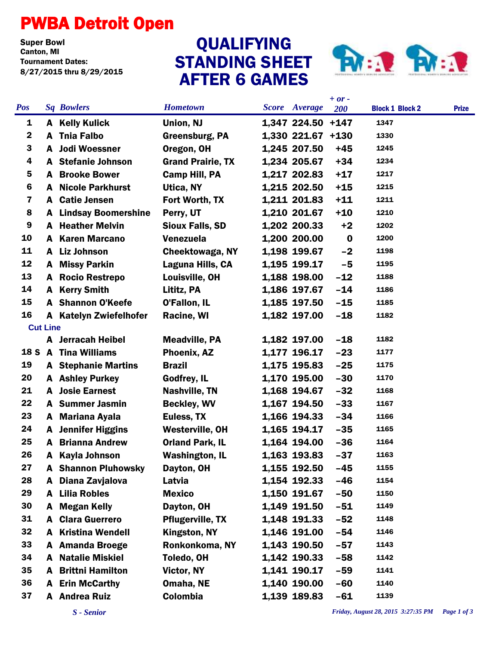## PWBA Detroit Open

**Super Bowl<br>Canton, MI** Tournament Dates: 8/27/2015 thru 8/29/2015

## STANDING SHEET AFTER 6 GAMES **QUALIFYING**



|             |                 |                            |                          |                      | $+ or -$ |                        |              |
|-------------|-----------------|----------------------------|--------------------------|----------------------|----------|------------------------|--------------|
| <b>Pos</b>  |                 | <b>Sq Bowlers</b>          | <b>Hometown</b>          | <b>Score</b> Average | 200      | <b>Block 1 Block 2</b> | <b>Prize</b> |
| 1           |                 | <b>A</b> Kelly Kulick      | Union, NJ                | 1,347 224.50 +147    |          | 1347                   |              |
| $\mathbf 2$ |                 | A Tnia Falbo               | Greensburg, PA           | 1,330 221.67 +130    |          | 1330                   |              |
| 3           | A               | <b>Jodi Woessner</b>       | Oregon, OH               | 1,245 207.50         | $+45$    | 1245                   |              |
| 4           |                 | A Stefanie Johnson         | <b>Grand Prairie, TX</b> | 1,234 205.67         | $+34$    | 1234                   |              |
| 5           | A               | <b>Brooke Bower</b>        | <b>Camp Hill, PA</b>     | 1,217 202.83         | $+17$    | 1217                   |              |
| 6           |                 | <b>A</b> Nicole Parkhurst  | Utica, NY                | 1,215 202.50         | $+15$    | 1215                   |              |
| 7           |                 | A Catie Jensen             | Fort Worth, TX           | 1,211 201.83         | $+11$    | 1211                   |              |
| 8           | A               | <b>Lindsay Boomershine</b> | Perry, UT                | 1,210 201.67         | $+10$    | 1210                   |              |
| 9           |                 | <b>A</b> Heather Melvin    | <b>Sioux Falls, SD</b>   | 1,202 200.33         | $+2$     | 1202                   |              |
| 10          |                 | <b>A</b> Karen Marcano     | <b>Venezuela</b>         | 1,200 200.00         | $\bf{0}$ | 1200                   |              |
| 11          |                 | A Liz Johnson              | <b>Cheektowaga, NY</b>   | 1,198 199.67         | $-2$     | 1198                   |              |
| 12          | A               | <b>Missy Parkin</b>        | Laguna Hills, CA         | 1,195 199.17         | $-5$     | 1195                   |              |
| 13          |                 | <b>A</b> Rocio Restrepo    | Louisville, OH           | 1,188 198.00         | $-12$    | 1188                   |              |
| 14          | A               | <b>Kerry Smith</b>         | Lititz, PA               | 1,186 197.67         | $-14$    | 1186                   |              |
| 15          |                 | <b>A</b> Shannon O'Keefe   | O'Fallon, IL             | 1,185 197.50         | $-15$    | 1185                   |              |
| 16          |                 | A Katelyn Zwiefelhofer     | Racine, WI               | 1,182 197.00         | $-18$    | 1182                   |              |
|             | <b>Cut Line</b> |                            |                          |                      |          |                        |              |
|             |                 | A Jerracah Heibel          | <b>Meadville, PA</b>     | 1,182 197.00         | $-18$    | 1182                   |              |
|             |                 | 18 S A Tina Williams       | Phoenix, AZ              | 1,177 196.17         | $-23$    | 1177                   |              |
| 19          |                 | <b>A</b> Stephanie Martins | <b>Brazil</b>            | 1,175 195.83         | $-25$    | 1175                   |              |
| 20          |                 | <b>A</b> Ashley Purkey     | Godfrey, IL              | 1,170 195.00         | $-30$    | 1170                   |              |
| 21          | A               | <b>Josie Earnest</b>       | Nashville, TN            | 1,168 194.67         | $-32$    | 1168                   |              |
| 22          |                 | A Summer Jasmin            | <b>Beckley, WV</b>       | 1,167 194.50         | $-33$    | 1167                   |              |
| 23          |                 | A Mariana Ayala            | Euless, TX               | 1,166 194.33         | $-34$    | 1166                   |              |
| 24          |                 | <b>A</b> Jennifer Higgins  | <b>Westerville, OH</b>   | 1,165 194.17         | $-35$    | 1165                   |              |
| 25          |                 | <b>A</b> Brianna Andrew    | <b>Orland Park, IL</b>   | 1,164 194.00         | $-36$    | 1164                   |              |
| 26          | A               | <b>Kayla Johnson</b>       | <b>Washington, IL</b>    | 1,163 193.83         | $-37$    | 1163                   |              |
| 27          |                 | <b>A</b> Shannon Pluhowsky | Dayton, OH               | 1,155 192.50         | $-45$    | 1155                   |              |
| 28          | A               | Diana Zavjalova            | Latvia                   | 1,154 192.33         | $-46$    | 1154                   |              |
| 29          | A               | <b>Lilia Robles</b>        | <b>Mexico</b>            | 1,150 191.67         | $-50$    | 1150                   |              |
| 30          | A               | <b>Megan Kelly</b>         | Dayton, OH               | 1,149 191.50         | $-51$    | 1149                   |              |
| 31          | A               | <b>Clara Guerrero</b>      | <b>Pflugerville, TX</b>  | 1,148 191.33         | $-52$    | 1148                   |              |
| 32          | A               | <b>Kristina Wendell</b>    | Kingston, NY             | 1,146 191.00         | $-54$    | 1146                   |              |
| 33          |                 | A Amanda Broege            | Ronkonkoma, NY           | 1,143 190.50         | $-57$    | 1143                   |              |
| 34          | A               | <b>Natalie Miskiel</b>     | Toledo, OH               | 1,142 190.33         | $-58$    | 1142                   |              |
| 35          | A               | <b>Brittni Hamilton</b>    | Victor, NY               | 1,141 190.17         | $-59$    | 1141                   |              |
| 36          |                 | A Erin McCarthy            | Omaha, NE                | 1,140 190.00         | $-60$    | 1140                   |              |
| 37          |                 | A Andrea Ruiz              | Colombia                 | 1,139 189.83         | $-61$    | 1139                   |              |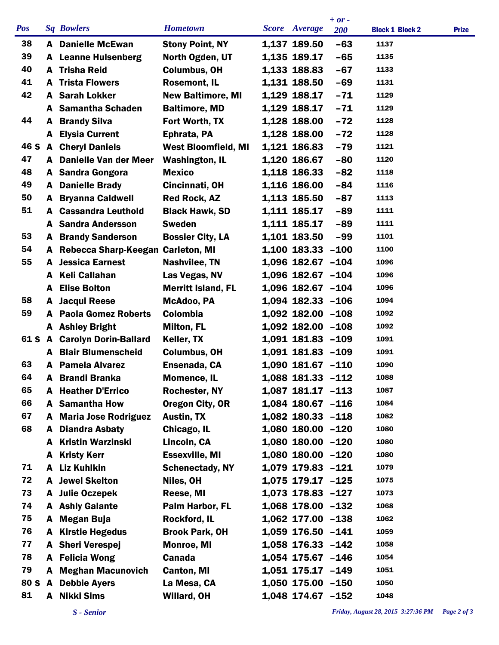|            |   |                                   |                            |                       | $+ or -$   |                        |              |
|------------|---|-----------------------------------|----------------------------|-----------------------|------------|------------------------|--------------|
| <b>Pos</b> |   | <b>Sq Bowlers</b>                 | <b>Hometown</b>            | Score Average         | <b>200</b> | <b>Block 1 Block 2</b> | <b>Prize</b> |
| 38         |   | <b>A</b> Danielle McEwan          | <b>Stony Point, NY</b>     | 1,137 189.50          | $-63$      | 1137                   |              |
| 39         |   | <b>A</b> Leanne Hulsenberg        | North Ogden, UT            | 1,135 189.17          | $-65$      | 1135                   |              |
| 40         |   | A Trisha Reid                     | <b>Columbus, OH</b>        | 1,133 188.83          | $-67$      | 1133                   |              |
| 41         | A | <b>Trista Flowers</b>             | <b>Rosemont, IL</b>        | 1,131 188.50          | $-69$      | 1131                   |              |
| 42         |   | <b>A</b> Sarah Lokker             | <b>New Baltimore, MI</b>   | 1,129 188.17          | $-71$      | 1129                   |              |
|            |   | A Samantha Schaden                | <b>Baltimore, MD</b>       | 1,129 188.17          | $-71$      | 1129                   |              |
| 44         | A | <b>Brandy Silva</b>               | Fort Worth, TX             | 1,128 188.00          | $-72$      | 1128                   |              |
|            |   | A Elysia Current                  | Ephrata, PA                | 1,128 188.00          | $-72$      | 1128                   |              |
|            |   | 46 S A Cheryl Daniels             | <b>West Bloomfield, MI</b> | 1,121 186.83          | $-79$      | 1121                   |              |
| 47         |   | A Danielle Van der Meer           | <b>Washington, IL</b>      | 1,120 186.67          | $-80$      | 1120                   |              |
| 48         |   | A Sandra Gongora                  | <b>Mexico</b>              | 1,118 186.33          | $-82$      | 1118                   |              |
| 49         |   | <b>A</b> Danielle Brady           | Cincinnati, OH             | 1,116 186.00          | $-84$      | 1116                   |              |
| 50         | A | <b>Bryanna Caldwell</b>           | <b>Red Rock, AZ</b>        | 1,113 185.50          | $-87$      | 1113                   |              |
| 51         |   | <b>A</b> Cassandra Leuthold       | <b>Black Hawk, SD</b>      | 1,111 185.17          | $-89$      | 1111                   |              |
|            |   | <b>A</b> Sandra Andersson         | <b>Sweden</b>              | 1,111 185.17          | $-89$      | 1111                   |              |
| 53         |   | <b>A</b> Brandy Sanderson         | <b>Bossier City, LA</b>    | 1,101 183.50          | $-99$      | 1101                   |              |
| 54         | A | Rebecca Sharp-Keegan Carleton, MI |                            | 1,100 183.33 -100     |            | 1100                   |              |
| 55         |   | <b>A</b> Jessica Earnest          | Nashvilee, TN              | 1,096 182.67 -104     |            | 1096                   |              |
|            |   | A Keli Callahan                   | Las Vegas, NV              | 1,096 182.67 -104     |            | 1096                   |              |
|            | A | <b>Elise Bolton</b>               | <b>Merritt Island, FL</b>  | 1,096 182.67 -104     |            | 1096                   |              |
| 58         | A | <b>Jacqui Reese</b>               | McAdoo, PA                 | $1,094$ 182.33 -106   |            | 1094                   |              |
| 59         |   | <b>A</b> Paola Gomez Roberts      | <b>Colombia</b>            | $1,092$ 182.00 $-108$ |            | 1092                   |              |
|            |   | A Ashley Bright                   | <b>Milton, FL</b>          | 1,092 182.00 -108     |            | 1092                   |              |
|            |   | 61 S A Carolyn Dorin-Ballard      | Keller, TX                 | 1,091 181.83 -109     |            | 1091                   |              |
|            |   | <b>A</b> Blair Blumenscheid       | <b>Columbus, OH</b>        | 1,091 181.83 -109     |            | 1091                   |              |
| 63         |   | <b>A</b> Pamela Alvarez           | Ensenada, CA               | 1,090 181.67 -110     |            | 1090                   |              |
| 64         | A | <b>Brandi Branka</b>              | <b>Momence, IL</b>         | 1,088 181.33 -112     |            | 1088                   |              |
| 65         |   | <b>A</b> Heather D'Errico         | <b>Rochester, NY</b>       | 1,087 181.17 -113     |            | 1087                   |              |
| 66         |   | A Samantha How                    | Oregon City, OR            | 1,084 180.67 -116     |            | 1084                   |              |
| 67         |   | <b>A</b> Maria Jose Rodriguez     | <b>Austin, TX</b>          | 1,082 180.33 -118     |            | 1082                   |              |
| 68         |   | <b>A</b> Diandra Asbaty           | Chicago, IL                | 1,080 180.00 -120     |            | 1080                   |              |
|            |   | <b>A</b> Kristin Warzinski        | Lincoln, CA                | 1,080 180.00 -120     |            | 1080                   |              |
|            |   | A Kristy Kerr                     | <b>Essexville, MI</b>      | 1,080 180.00 -120     |            | 1080                   |              |
| 71         |   | A Liz Kuhlkin                     | <b>Schenectady, NY</b>     | 1,079 179.83 -121     |            | 1079                   |              |
| 72         |   | <b>A</b> Jewel Skelton            | Niles, OH                  | 1,075 179.17 -125     |            | 1075                   |              |
| 73         |   | A Julie Oczepek                   | Reese, MI                  | 1,073 178.83 -127     |            | 1073                   |              |
| 74         |   | A Ashly Galante                   | Palm Harbor, FL            | 1,068 178.00 -132     |            | 1068                   |              |
| 75         |   | A Megan Buja                      | <b>Rockford, IL</b>        | 1,062 177.00 -138     |            | 1062                   |              |
| 76         |   | A Kirstie Hegedus                 | <b>Brook Park, OH</b>      | 1,059 176.50 -141     |            | 1059                   |              |
| 77         |   | A Sheri Verespej                  | <b>Monroe, MI</b>          | 1,058 176.33 -142     |            | 1058                   |              |
| 78         |   | A Felicia Wong                    | <b>Canada</b>              | 1,054 175.67 -146     |            | 1054                   |              |
| 79         |   | <b>A</b> Meghan Macunovich        | <b>Canton, MI</b>          | 1,051 175.17 -149     |            | 1051                   |              |
| 80 S       |   | A Debbie Ayers                    | La Mesa, CA                | 1,050 175.00 -150     |            | 1050                   |              |
| 81         |   | A Nikki Sims                      | Willard, OH                | 1,048 174.67 -152     |            | 1048                   |              |
|            |   |                                   |                            |                       |            |                        |              |